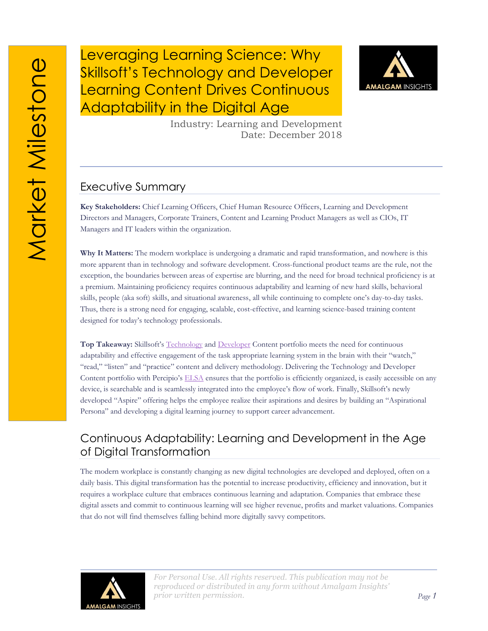Leveraging Learning Science: Why Skillsoft's Technology and Developer Learning Content Drives Continuous Adaptability in the Digital Age



Industry: Learning and Development Date: December 2018

#### Executive Summary

**Key Stakeholders:** Chief Learning Officers, Chief Human Resource Officers, Learning and Development Directors and Managers, Corporate Trainers, Content and Learning Product Managers as well as CIOs, IT Managers and IT leaders within the organization.

**Why It Matters:** The modern workplace is undergoing a dramatic and rapid transformation, and nowhere is this more apparent than in technology and software development. Cross-functional product teams are the rule, not the exception, the boundaries between areas of expertise are blurring, and the need for broad technical proficiency is at a premium. Maintaining proficiency requires continuous adaptability and learning of new hard skills, behavioral skills, people (aka soft) skills, and situational awareness, all while continuing to complete one's day-to-day tasks. Thus, there is a strong need for engaging, scalable, cost-effective, and learning science-based training content designed for today's technology professionals.

**Top Takeaway:** Skillsoft's [Technology](https://www.skillsoft.com/content-solutions/it-skills-and-certification-training/) and [Developer](https://www.skillsoft.com/content-solutions/it-training-portfolio/) Content portfolio meets the need for continuous adaptability and effective engagement of the task appropriate learning system in the brain with their "watch," "read," "listen" and "practice" content and delivery methodology. Delivering the Technology and Developer Content portfolio with Percipio's [ELSA](https://www.skillsoft.com/platform-solution/percipio/percipio-elsa/) ensures that the portfolio is efficiently organized, is easily accessible on any device, is searchable and is seamlessly integrated into the employee's flow of work. Finally, Skillsoft's newly developed "Aspire" offering helps the employee realize their aspirations and desires by building an "Aspirational Persona" and developing a digital learning journey to support career advancement.

#### Continuous Adaptability: Learning and Development in the Age of Digital Transformation

The modern workplace is constantly changing as new digital technologies are developed and deployed, often on a daily basis. This digital transformation has the potential to increase productivity, efficiency and innovation, but it requires a workplace culture that embraces continuous learning and adaptation. Companies that embrace these digital assets and commit to continuous learning will see higher revenue, profits and market valuations. Companies that do not will find themselves falling behind more digitally savvy competitors.

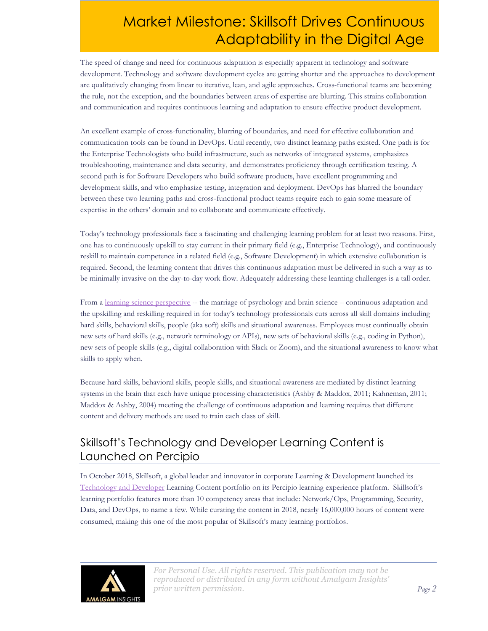The speed of change and need for continuous adaptation is especially apparent in technology and software development. Technology and software development cycles are getting shorter and the approaches to development are qualitatively changing from linear to iterative, lean, and agile approaches. Cross-functional teams are becoming the rule, not the exception, and the boundaries between areas of expertise are blurring. This strains collaboration and communication and requires continuous learning and adaptation to ensure effective product development.

An excellent example of cross-functionality, blurring of boundaries, and need for effective collaboration and communication tools can be found in DevOps. Until recently, two distinct learning paths existed. One path is for the Enterprise Technologists who build infrastructure, such as networks of integrated systems, emphasizes troubleshooting, maintenance and data security, and demonstrates proficiency through certification testing. A second path is for Software Developers who build software products, have excellent programming and development skills, and who emphasize testing, integration and deployment. DevOps has blurred the boundary between these two learning paths and cross-functional product teams require each to gain some measure of expertise in the others' domain and to collaborate and communicate effectively.

Today's technology professionals face a fascinating and challenging learning problem for at least two reasons. First, one has to continuously upskill to stay current in their primary field (e.g., Enterprise Technology), and continuously reskill to maintain competence in a related field (e.g., Software Development) in which extensive collaboration is required. Second, the learning content that drives this continuous adaptation must be delivered in such a way as to be minimally invasive on the day-to-day work flow. Adequately addressing these learning challenges is a tall order.

From [a learning science perspective](https://amalgaminsights.com/2018/05/02/the-adoption-gap-in-learning-development-how-learning-science-can-bridge-the-divide/) -- the marriage of psychology and brain science – continuous adaptation and the upskilling and reskilling required in for today's technology professionals cuts across all skill domains including hard skills, behavioral skills, people (aka soft) skills and situational awareness. Employees must continually obtain new sets of hard skills (e.g., network terminology or APIs), new sets of behavioral skills (e.g., coding in Python), new sets of people skills (e.g., digital collaboration with Slack or Zoom), and the situational awareness to know what skills to apply when.

Because hard skills, behavioral skills, people skills, and situational awareness are mediated by distinct learning systems in the brain that each have unique processing characteristics (Ashby & Maddox, 2011; Kahneman, 2011; Maddox & Ashby, 2004) meeting the challenge of continuous adaptation and learning requires that different content and delivery methods are used to train each class of skill.

## Skillsoft's Technology and Developer Learning Content is Launched on Percipio

In October 2018, Skillsoft, a global leader and innovator in corporate Learning & Development launched its [Technology and Developer](https://www.skillsoft.com/press-releases/skillsofts-complete-technology-and-developer-learning-content-is-now-available-on-percipio/) Learning Content portfolio on its Percipio learning experience platform. Skillsoft's learning portfolio features more than 10 competency areas that include: Network/Ops, Programming, Security, Data, and DevOps, to name a few. While curating the content in 2018, nearly 16,000,000 hours of content were consumed, making this one of the most popular of Skillsoft's many learning portfolios.

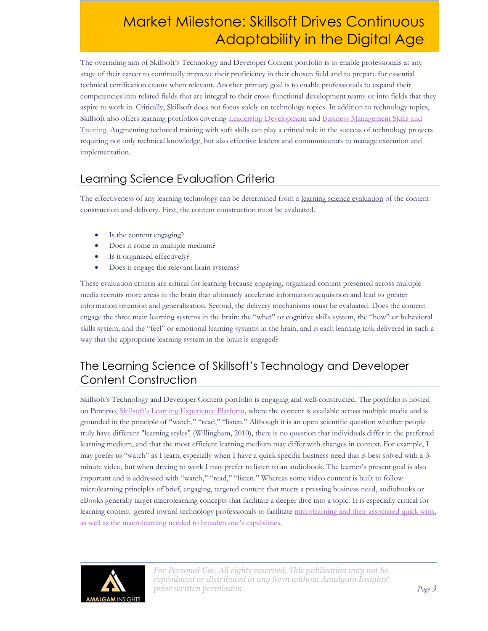The overriding aim of Skillsoft's Technology and Developer Content portfolio is to enable professionals at any stage of their career to continually improve their proficiency in their chosen field and to prepare for essential technical certification exams when relevant. Another primary goal is to enable professionals to expand their competencies into related fields that are integral to their cross-functional development teams or into fields that they aspire to work in. Critically, Skillsoft does not focus solely on technology topics. In addition to technology topics, Skillsoft also offers learning portfolios covering [Leadership Development](https://www.skillsoft.com/content-solutions/leadership-development/) and [Business Management Skills and](https://www.skillsoft.com/content-solutions/business-skills-training/)  [Training.](https://www.skillsoft.com/content-solutions/business-skills-training/) Augmenting technical training with soft skills can play a critical role in the success of technology projects requiring not only technical knowledge, but also effective leaders and communicators to manage execution and implementation.

## Learning Science Evaluation Criteria

The effectiveness of any learning technology can be determined from a [learning science evaluation](https://amalgaminsights.com/2018/05/29/why-corporate-learning-solutions-ignore-brain-science-and-create-corporate-adoption-gaps/) of the content construction and delivery. First, the content construction must be evaluated.

- Is the content engaging?
- Does it come in multiple medium?
- Is it organized effectively?
- Does it engage the relevant brain systems?

These evaluation criteria are critical for learning because engaging, organized content presented across multiple media recruits more areas in the brain that ultimately accelerate information acquisition and lead to greater information retention and generalization. Second, the delivery mechanisms must be evaluated. Does the content engage the three main learning systems in the brain: the "what" or cognitive skills system, the "how" or behavioral skills system, and the "feel" or emotional learning systems in the brain, and is each learning task delivered in such a way that the appropriate learning system in the brain is engaged?

## The Learning Science of Skillsoft's Technology and Developer Content Construction

Skillsoft's Technology and Developer Content portfolio is engaging and well-constructed. The portfolio is hosted on Percipio, [Skillsoft's Learning Experience Platform](https://amalgaminsights.com/2018/10/01/why-percipio-excels-as-a-learning-experience-platform-a-market-milestone/), where the content is available across multiple media and is grounded in the principle of "watch," "read," "listen." Although it is an open scientific question whether people truly have different "learning styles" (Willingham, 2010), there is no question that individuals differ in the preferred learning medium, and that the most efficient learning medium may differ with changes in context. For example, I may prefer to "watch" as I learn, especially when I have a quick specific business need that is best solved with a 3 minute video, but when driving to work I may prefer to listen to an audiobook. The learner's present goal is also important and is addressed with "watch," "read," "listen." Whereas some video content is built to follow microlearning principles of brief, engaging, targeted content that meets a pressing business need, audiobooks or eBooks generally target macrolearning concepts that facilitate a deeper dive into a topic. It is especially critical for learning content geared toward technology professionals to facilitat[e microlearning and their associated quick wins,](https://amalgaminsights.com/2018/07/17/the-brain-science-view-on-why-microlearning-is-misused-misapplied-in-enterprise-learning-environments/) as well as the ma[crolearning needed to broaden one's capabil](https://amalgaminsights.com/2018/07/17/the-brain-science-view-on-why-microlearning-is-misused-misapplied-in-enterprise-learning-environments/)ities.

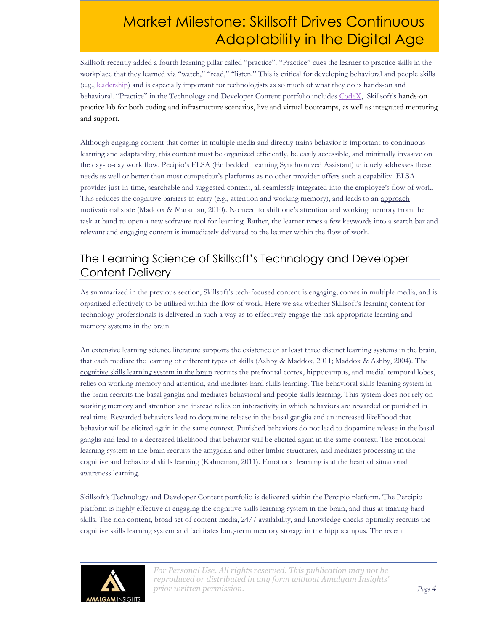Skillsoft recently added a fourth learning pillar called "practice". "Practice" cues the learner to practice skills in the workplace that they learned via "watch," "read," "listen." This is critical for developing behavioral and people skills (e.g., [leadership\)](https://amalgaminsights.com/product/market-milestone-walking-a-mile-in-my-shoes-with-skillsofts-leadership-development-program/) and is especially important for technologists as so much of what they do is hands-on and behavioral. "Practice" in the Technology and Developer Content portfolio includes [CodeX,](https://www.skillsoft.com/content-solutions/it-training-portfolio/skillsoft-codex/) Skillsoft's hands-on practice lab for both coding and infrastructure scenarios, live and virtual bootcamps, as well as integrated mentoring and support.

Although engaging content that comes in multiple media and directly trains behavior is important to continuous learning and adaptability, this content must be organized efficiently, be easily accessible, and minimally invasive on the day-to-day work flow. Pecipio's ELSA (Embedded Learning Synchronized Assistant) uniquely addresses these needs as well or better than most competitor's platforms as no other provider offers such a capability. ELSA provides just-in-time, searchable and suggested content, all seamlessly integrated into the employee's flow of work. This reduces the cognitive barriers to entry (e.g., attention and working memory), and leads to an approach [motivational state](https://amalgaminsights.com/2018/03/26/why-learning-and-development-efforts-misuse-gamification-one-size-does-not-fit-all/) (Maddox & Markman, 2010). No need to shift one's attention and working memory from the task at hand to open a new software tool for learning. Rather, the learner types a few keywords into a search bar and relevant and engaging content is immediately delivered to the learner within the flow of work.

## The Learning Science of Skillsoft's Technology and Developer Content Delivery

As summarized in the previous section, Skillsoft's tech-focused content is engaging, comes in multiple media, and is organized effectively to be utilized within the flow of work. Here we ask whether Skillsoft's learning content for technology professionals is delivered in such a way as to effectively engage the task appropriate learning and memory systems in the brain.

An extensive [learning science literature](https://amalgaminsights.com/2018/05/29/why-corporate-learning-solutions-ignore-brain-science-and-create-corporate-adoption-gaps/) supports the existence of at least three distinct learning systems in the brain, that each mediate the learning of different types of skills (Ashby & Maddox, 2011; Maddox & Ashby, 2004). The [cognitive skills learning system in the brain](https://amalgaminsights.com/2018/01/02/dual-learning-systems-in-the-brain-implications-for-corporate-training/) recruits the prefrontal cortex, hippocampus, and medial temporal lobes, relies on working memory and attention, and mediates hard skills learning. The behavioral skills learning system in [the brain](https://amalgaminsights.com/2018/01/16/the-brain-science-of-effective-corporate-soft-skills-training/) recruits the basal ganglia and mediates behavioral and people skills learning. This system does not rely on working memory and attention and instead relies on interactivity in which behaviors are rewarded or punished in real time. Rewarded behaviors lead to dopamine release in the basal ganglia and an increased likelihood that behavior will be elicited again in the same context. Punished behaviors do not lead to dopamine release in the basal ganglia and lead to a decreased likelihood that behavior will be elicited again in the same context. The emotional learning system in the brain recruits the amygdala and other limbic structures, and mediates processing in the cognitive and behavioral skills learning (Kahneman, 2011). Emotional learning is at the heart of situational awareness learning.

Skillsoft's Technology and Developer Content portfolio is delivered within the Percipio platform. The Percipio platform is highly effective at engaging the cognitive skills learning system in the brain, and thus at training hard skills. The rich content, broad set of content media, 24/7 availability, and knowledge checks optimally recruits the cognitive skills learning system and facilitates long-term memory storage in the hippocampus. The recent

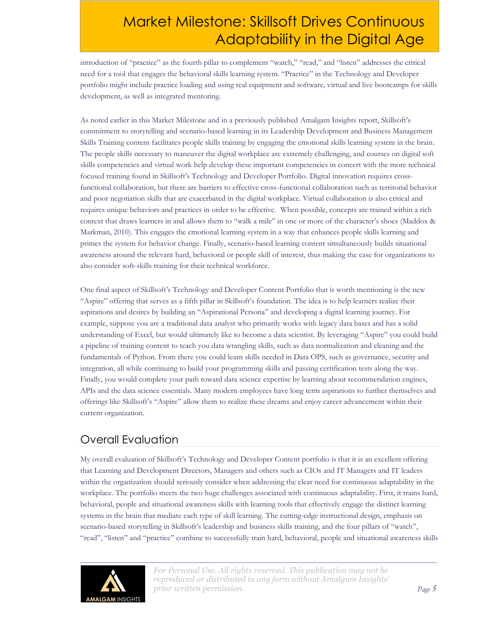introduction of "practice" as the fourth pillar to complement "watch," "read," and "listen" addresses the critical need for a tool that engages the behavioral skills learning system. "Practice" in the Technology and Developer portfolio might include practice loading and using real equipment and software, virtual and live bootcamps for skills development, as well as integrated mentoring.

As noted earlier in this Market Milestone and in a previously published Amalgam Insights report, Skillsoft's commitment to storytelling and scenario-based learning in its Leadership Development and Business Management Skills Training content facilitates people skills training by engaging the emotional skills learning system in the brain. The people skills necessary to maneuver the digital workplace are extremely challenging, and courses on digital soft skills competencies and virtual work help develop these important competencies in concert with the more technical focused training found in Skillsoft's Technology and Developer Portfolio. Digital innovation requires crossfunctional collaboration, but there are barriers to effective cross-functional collaboration such as territorial behavior and poor negotiation skills that are exacerbated in the digital workplace. Virtual collaboration is also critical and requires unique behaviors and practices in order to be effective. When possible, concepts are trained within a rich context that draws learners in and allows them to "walk a mile" in one or more of the character's shoes (Maddox & Markman, 2010). This engages the emotional learning system in a way that enhances people skills learning and primes the system for behavior change. Finally, scenario-based learning content simultaneously builds situational awareness around the relevant hard, behavioral or people skill of interest, thus making the case for organizations to also consider soft-skills training for their technical workforce.

One final aspect of Skillsoft's Technology and Developer Content Portfolio that is worth mentioning is the new "Aspire" offering that serves as a fifth pillar in Skillsoft's foundation. The idea is to help learners realize their aspirations and desires by building an "Aspirational Persona" and developing a digital learning journey. For example, suppose you are a traditional data analyst who primarily works with legacy data bases and has a solid understanding of Excel, but would ultimately like to become a data scientist. By leveraging "Aspire" you could build a pipeline of training content to teach you data wrangling skills, such as data normalization and cleaning and the fundamentals of Python. From there you could learn skills needed in Data OPS, such as governance, security and integration, all while continuing to build your programming skills and passing certification tests along the way. Finally, you would complete your path toward data science expertise by learning about recommendation engines, APIs and the data science essentials. Many modern employees have long term aspirations to further themselves and offerings like Skillsoft's "Aspire" allow them to realize these dreams and enjoy career advancement within their current organization.

#### Overall Evaluation

My overall evaluation of Skillsoft's Technology and Developer Content portfolio is that it is an excellent offering that Learning and Development Directors, Managers and others such as CIOs and IT Managers and IT leaders within the organization should seriously consider when addressing the clear need for continuous adaptability in the workplace. The portfolio meets the two huge challenges associated with continuous adaptability. First, it trains hard, behavioral, people and situational awareness skills with learning tools that effectively engage the distinct learning systems in the brain that mediate each type of skill learning. The cutting-edge instructional design, emphasis on scenario-based storytelling in Skillsoft's leadership and business skills training, and the four pillars of "watch", "read", "listen" and "practice" combine to successfully train hard, behavioral, people and situational awareness skills

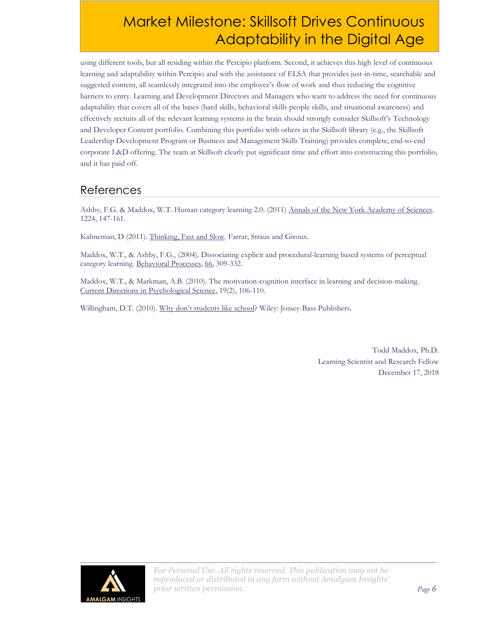using different tools, but all residing within the Percipio platform. Second, it achieves this high level of continuous learning and adaptability within Percipio and with the assistance of ELSA that provides just-in-time, searchable and suggested content, all seamlessly integrated into the employee's flow of work and thus reducing the cognitive barriers to entry. Learning and Development Directors and Managers who want to address the need for continuous adaptability that covers all of the bases (hard skills, behavioral skills people skills, and situational awareness) and effectively recruits all of the relevant learning systems in the brain should strongly consider Skillsoft's Technology and Developer Content portfolio. Combining this portfolio with others in the Skillsoft library (e.g., the Skillsoft Leadership Development Program or Business and Management Skills Training) provides complete, end-to-end corporate L&D offering. The team at Skillsoft clearly put significant time and effort into constructing this portfolio, and it has paid off.

#### References

Ashby, F.G. & Maddox, W.T. Human category learning 2.0. (2011) Annals of the New York Academy of Sciences. 1224, 147-161.

Kahneman, D (2011). Thinking, Fast and Slow. Farrar, Straus and Giroux.

Maddox, W.T., & Ashby, F.G., (2004). Dissociating explicit and procedural-learning based systems of perceptual category learning. Behavioral Processes, 66, 309-332.

Maddox, W.T., & Markman, A.B. (2010). The motivation-cognition interface in learning and decision-making. Current Directions in Psychological Science, 19(2), 106-110.

Willingham, D.T. (2010). Why don't students like school? Wiley: Jossey-Bass Publishers.

Todd Maddox, Ph.D. Learning Scientist and Research Fellow December 17, 2018